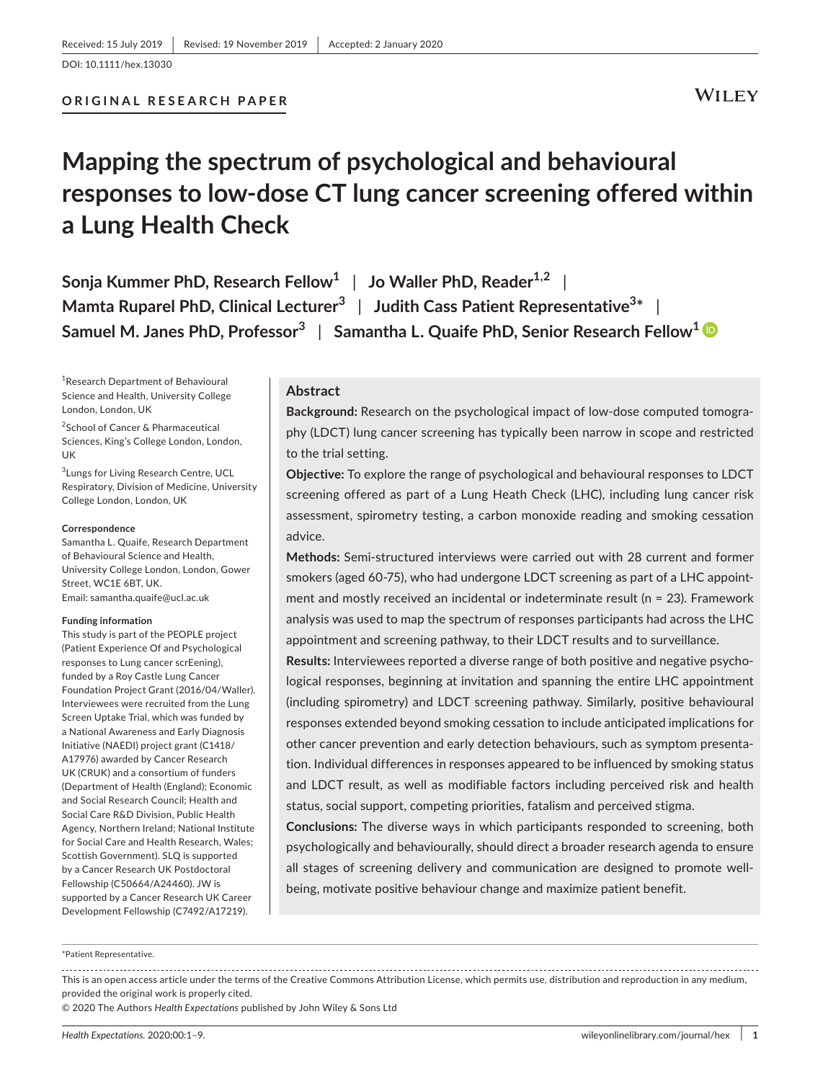# **WILEY**

# **Mapping the spectrum of psychological and behavioural responses to low-dose CT lung cancer screening offered within a Lung Health Check**

**Sonja Kummer PhD, Research Fellow<sup>1</sup> | Jo Waller PhD, Reader<sup>1,2</sup> | Mamta Ruparel PhD, Clinical Lecturer<sup>3</sup>** | **Judith Cass Patient Representative<sup>3</sup> \*** | **Samuel M. Janes PhD, Professor<sup>3</sup>** | **Samantha L. Quaife PhD, Senior Research Fellow[1](https://orcid.org/0000-0002-4918-6382)**

1 Research Department of Behavioural Science and Health, University College London, London, UK

<sup>2</sup>School of Cancer & Pharmaceutical Sciences, King's College London, London, UK

3 Lungs for Living Research Centre, UCL Respiratory, Division of Medicine, University College London, London, UK

#### **Correspondence**

Samantha L. Quaife, Research Department of Behavioural Science and Health, University College London, London, Gower Street, WC1E 6BT, UK. Email: [samantha.quaife@ucl.ac.uk](mailto:samantha.quaife@ucl.ac.uk)

#### **Funding information**

This study is part of the PEOPLE project (Patient Experience Of and Psychological responses to Lung cancer scrEening), funded by a Roy Castle Lung Cancer Foundation Project Grant (2016/04/Waller). Interviewees were recruited from the Lung Screen Uptake Trial, which was funded by a National Awareness and Early Diagnosis Initiative (NAEDI) project grant (C1418/ A17976) awarded by Cancer Research UK (CRUK) and a consortium of funders (Department of Health (England); Economic and Social Research Council; Health and Social Care R&D Division, Public Health Agency, Northern Ireland; National Institute for Social Care and Health Research, Wales; Scottish Government). SLQ is supported by a Cancer Research UK Postdoctoral Fellowship (C50664/A24460). JW is supported by a Cancer Research UK Career Development Fellowship (C7492/A17219).

#### **Abstract**

**Background:** Research on the psychological impact of low-dose computed tomography (LDCT) lung cancer screening has typically been narrow in scope and restricted to the trial setting.

**Objective:** To explore the range of psychological and behavioural responses to LDCT screening offered as part of a Lung Heath Check (LHC), including lung cancer risk assessment, spirometry testing, a carbon monoxide reading and smoking cessation advice.

**Methods:** Semi-structured interviews were carried out with 28 current and former smokers (aged 60-75), who had undergone LDCT screening as part of a LHC appointment and mostly received an incidental or indeterminate result ( $n = 23$ ). Framework analysis was used to map the spectrum of responses participants had across the LHC appointment and screening pathway, to their LDCT results and to surveillance.

**Results:** Interviewees reported a diverse range of both positive and negative psychological responses, beginning at invitation and spanning the entire LHC appointment (including spirometry) and LDCT screening pathway. Similarly, positive behavioural responses extended beyond smoking cessation to include anticipated implications for other cancer prevention and early detection behaviours, such as symptom presentation. Individual differences in responses appeared to be influenced by smoking status and LDCT result, as well as modifiable factors including perceived risk and health status, social support, competing priorities, fatalism and perceived stigma.

**Conclusions:** The diverse ways in which participants responded to screening, both psychologically and behaviourally, should direct a broader research agenda to ensure all stages of screening delivery and communication are designed to promote wellbeing, motivate positive behaviour change and maximize patient benefit.

#### \*Patient Representative.

This is an open access article under the terms of the [Creative Commons Attribution](http://creativecommons.org/licenses/by/4.0/) License, which permits use, distribution and reproduction in any medium, provided the original work is properly cited.

© 2020 The Authors *Health Expectations* published by John Wiley & Sons Ltd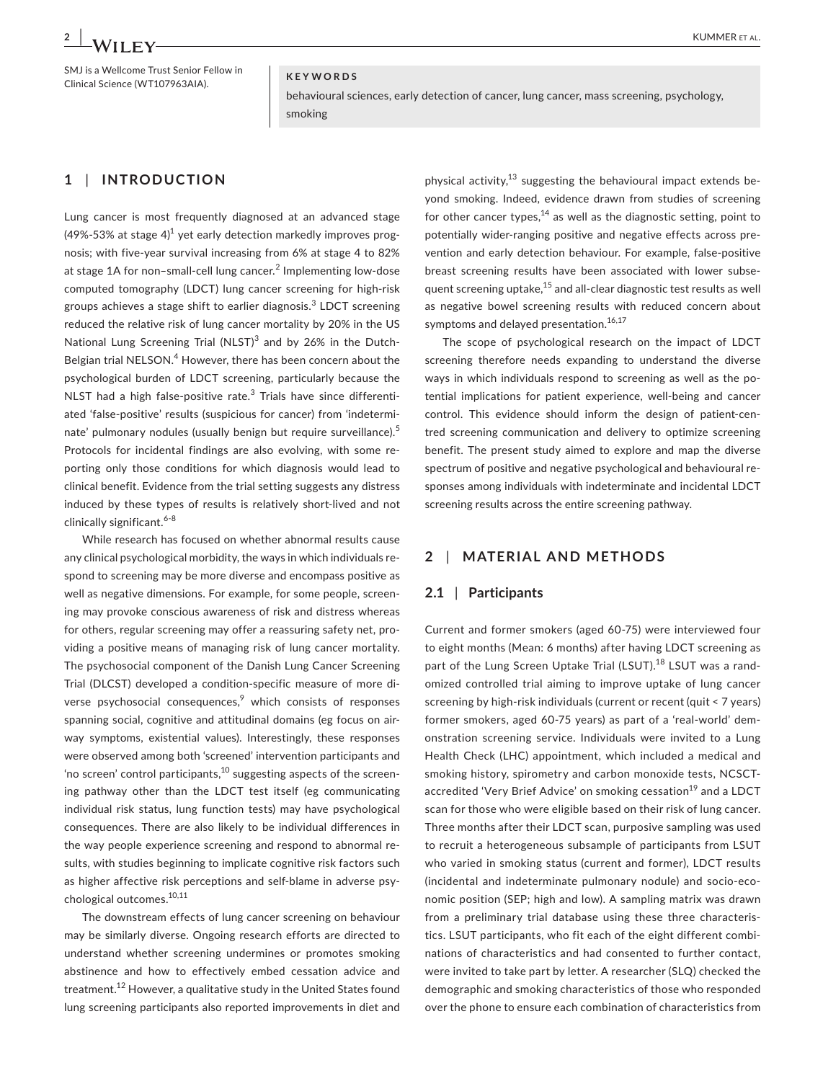#### SMJ is a Wellcome Trust Senior Fellow in SMJ is a wellcome Trust Senior Fellow in<br>Clinical Science (WT107963AIA). **KEYWORDS**

behavioural sciences, early detection of cancer, lung cancer, mass screening, psychology, smoking

# **1** | **INTRODUCTION**

Lung cancer is most frequently diagnosed at an advanced stage (49%-53% at stage 4) $^1$  yet early detection markedly improves prognosis; with five-year survival increasing from 6% at stage 4 to 82% at stage 1A for non-small-cell lung cancer.<sup>2</sup> Implementing low-dose computed tomography (LDCT) lung cancer screening for high-risk groups achieves a stage shift to earlier diagnosis.<sup>3</sup> LDCT screening reduced the relative risk of lung cancer mortality by 20% in the US National Lung Screening Trial (NLST)<sup>3</sup> and by 26% in the Dutch-Belgian trial NELSON.<sup>4</sup> However, there has been concern about the psychological burden of LDCT screening, particularly because the NLST had a high false-positive rate.<sup>3</sup> Trials have since differentiated 'false-positive' results (suspicious for cancer) from 'indeterminate' pulmonary nodules (usually benign but require surveillance).<sup>5</sup> Protocols for incidental findings are also evolving, with some reporting only those conditions for which diagnosis would lead to clinical benefit. Evidence from the trial setting suggests any distress induced by these types of results is relatively short-lived and not clinically significant.<sup>6-8</sup>

While research has focused on whether abnormal results cause any clinical psychological morbidity, the ways in which individuals respond to screening may be more diverse and encompass positive as well as negative dimensions. For example, for some people, screening may provoke conscious awareness of risk and distress whereas for others, regular screening may offer a reassuring safety net, providing a positive means of managing risk of lung cancer mortality. The psychosocial component of the Danish Lung Cancer Screening Trial (DLCST) developed a condition-specific measure of more diverse psychosocial consequences, $\degree$  which consists of responses spanning social, cognitive and attitudinal domains (eg focus on airway symptoms, existential values). Interestingly, these responses were observed among both 'screened' intervention participants and 'no screen' control participants, $^{10}$  suggesting aspects of the screening pathway other than the LDCT test itself (eg communicating individual risk status, lung function tests) may have psychological consequences. There are also likely to be individual differences in the way people experience screening and respond to abnormal results, with studies beginning to implicate cognitive risk factors such as higher affective risk perceptions and self-blame in adverse psychological outcomes.<sup>10,11</sup>

The downstream effects of lung cancer screening on behaviour may be similarly diverse. Ongoing research efforts are directed to understand whether screening undermines or promotes smoking abstinence and how to effectively embed cessation advice and treatment.<sup>12</sup> However, a qualitative study in the United States found lung screening participants also reported improvements in diet and physical activity, $13$  suggesting the behavioural impact extends beyond smoking. Indeed, evidence drawn from studies of screening for other cancer types,  $14$  as well as the diagnostic setting, point to potentially wider-ranging positive and negative effects across prevention and early detection behaviour. For example, false-positive breast screening results have been associated with lower subsequent screening uptake,<sup>15</sup> and all-clear diagnostic test results as well as negative bowel screening results with reduced concern about symptoms and delayed presentation.<sup>16,17</sup>

The scope of psychological research on the impact of LDCT screening therefore needs expanding to understand the diverse ways in which individuals respond to screening as well as the potential implications for patient experience, well-being and cancer control. This evidence should inform the design of patient-centred screening communication and delivery to optimize screening benefit. The present study aimed to explore and map the diverse spectrum of positive and negative psychological and behavioural responses among individuals with indeterminate and incidental LDCT screening results across the entire screening pathway.

# **2** | **MATERIAL AND METHODS**

#### **2.1** | **Participants**

Current and former smokers (aged 60-75) were interviewed four to eight months (Mean: 6 months) after having LDCT screening as part of the Lung Screen Uptake Trial (LSUT).<sup>18</sup> LSUT was a randomized controlled trial aiming to improve uptake of lung cancer screening by high-risk individuals (current or recent (quit < 7 years) former smokers, aged 60-75 years) as part of a 'real-world' demonstration screening service. Individuals were invited to a Lung Health Check (LHC) appointment, which included a medical and smoking history, spirometry and carbon monoxide tests, NCSCTaccredited 'Very Brief Advice' on smoking cessation<sup>19</sup> and a LDCT scan for those who were eligible based on their risk of lung cancer. Three months after their LDCT scan, purposive sampling was used to recruit a heterogeneous subsample of participants from LSUT who varied in smoking status (current and former), LDCT results (incidental and indeterminate pulmonary nodule) and socio-economic position (SEP; high and low). A sampling matrix was drawn from a preliminary trial database using these three characteristics. LSUT participants, who fit each of the eight different combinations of characteristics and had consented to further contact, were invited to take part by letter. A researcher (SLQ) checked the demographic and smoking characteristics of those who responded over the phone to ensure each combination of characteristics from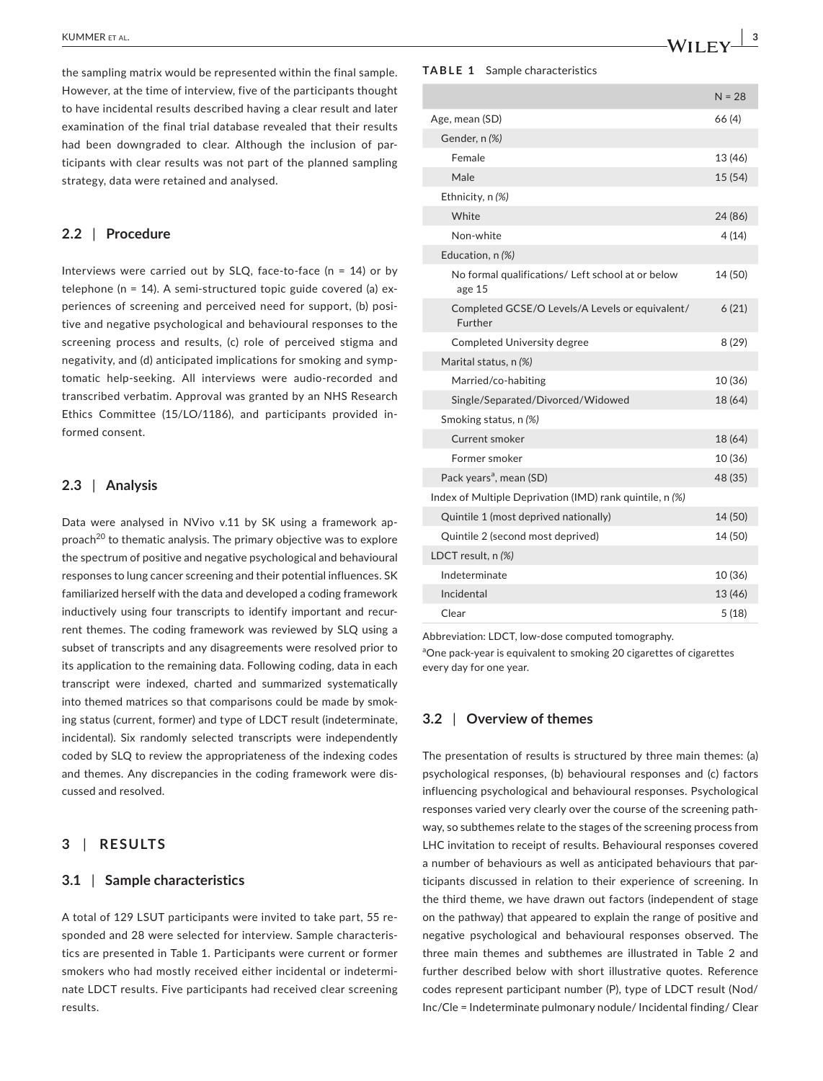the sampling matrix would be represented within the final sample. However, at the time of interview, five of the participants thought to have incidental results described having a clear result and later examination of the final trial database revealed that their results had been downgraded to clear. Although the inclusion of participants with clear results was not part of the planned sampling strategy, data were retained and analysed.

## **2.2** | **Procedure**

Interviews were carried out by SLQ, face-to-face (n = 14) or by telephone (n = 14). A semi-structured topic guide covered (a) experiences of screening and perceived need for support, (b) positive and negative psychological and behavioural responses to the screening process and results, (c) role of perceived stigma and negativity, and (d) anticipated implications for smoking and symptomatic help-seeking. All interviews were audio-recorded and transcribed verbatim. Approval was granted by an NHS Research Ethics Committee (15/LO/1186), and participants provided informed consent.

#### **2.3** | **Analysis**

Data were analysed in NVivo v.11 by SK using a framework approach $^{20}$  to thematic analysis. The primary objective was to explore the spectrum of positive and negative psychological and behavioural responses to lung cancer screening and their potential influences. SK familiarized herself with the data and developed a coding framework inductively using four transcripts to identify important and recurrent themes. The coding framework was reviewed by SLQ using a subset of transcripts and any disagreements were resolved prior to its application to the remaining data. Following coding, data in each transcript were indexed, charted and summarized systematically into themed matrices so that comparisons could be made by smoking status (current, former) and type of LDCT result (indeterminate, incidental). Six randomly selected transcripts were independently coded by SLQ to review the appropriateness of the indexing codes and themes. Any discrepancies in the coding framework were discussed and resolved.

# **3** | **RESULTS**

## **3.1** | **Sample characteristics**

A total of 129 LSUT participants were invited to take part, 55 responded and 28 were selected for interview. Sample characteristics are presented in Table 1. Participants were current or former smokers who had mostly received either incidental or indeterminate LDCT results. Five participants had received clear screening results.

#### **TABLE 1** Sample characteristics

|                                                             | $N = 28$ |
|-------------------------------------------------------------|----------|
| Age, mean (SD)                                              | 66 (4)   |
| Gender, n (%)                                               |          |
| Female                                                      | 13 (46)  |
| Male                                                        | 15 (54)  |
| Ethnicity, n (%)                                            |          |
| White                                                       | 24 (86)  |
| Non-white                                                   | 4 (14)   |
| Education, n (%)                                            |          |
| No formal qualifications/ Left school at or below<br>age 15 | 14 (50)  |
| Completed GCSE/O Levels/A Levels or equivalent/<br>Further  | 6(21)    |
| <b>Completed University degree</b>                          | 8(29)    |
| Marital status, n (%)                                       |          |
| Married/co-habiting                                         | 10 (36)  |
| Single/Separated/Divorced/Widowed                           | 18 (64)  |
| Smoking status, n (%)                                       |          |
| Current smoker                                              | 18 (64)  |
| Former smoker                                               | 10 (36)  |
| Pack years <sup>a</sup> , mean (SD)                         | 48 (35)  |
| Index of Multiple Deprivation (IMD) rank quintile, n (%)    |          |
| Quintile 1 (most deprived nationally)                       | 14 (50)  |
| Quintile 2 (second most deprived)                           | 14 (50)  |
| LDCT result, n (%)                                          |          |
| Indeterminate                                               | 10 (36)  |
| Incidental                                                  | 13 (46)  |
| Clear                                                       | 5(18)    |

Abbreviation: LDCT, low-dose computed tomography.

<sup>a</sup>One pack-year is equivalent to smoking 20 cigarettes of cigarettes every day for one year.

#### **3.2** | **Overview of themes**

The presentation of results is structured by three main themes: (a) psychological responses, (b) behavioural responses and (c) factors influencing psychological and behavioural responses. Psychological responses varied very clearly over the course of the screening pathway, so subthemes relate to the stages of the screening process from LHC invitation to receipt of results. Behavioural responses covered a number of behaviours as well as anticipated behaviours that participants discussed in relation to their experience of screening. In the third theme, we have drawn out factors (independent of stage on the pathway) that appeared to explain the range of positive and negative psychological and behavioural responses observed. The three main themes and subthemes are illustrated in Table 2 and further described below with short illustrative quotes. Reference codes represent participant number (P), type of LDCT result (Nod/ Inc/Cle = Indeterminate pulmonary nodule/ Incidental finding/ Clear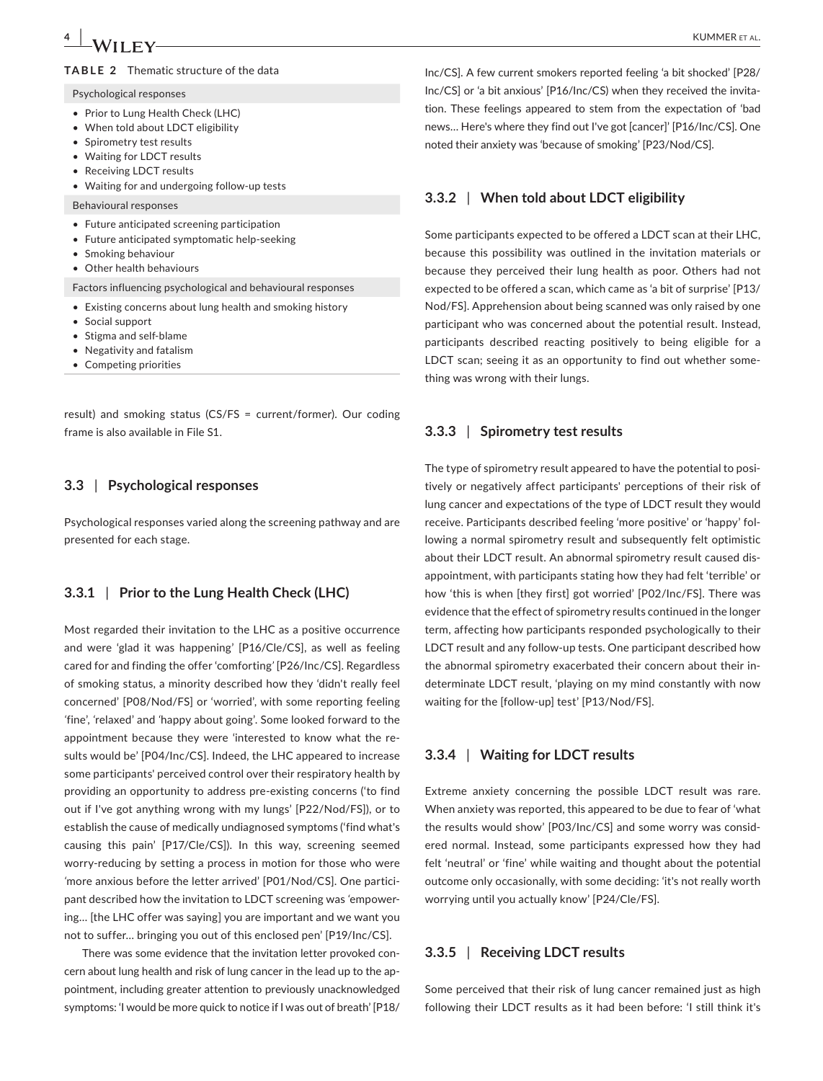# **4 b** *M/II FX/* **b** *CMMER et al.*

#### Psychological responses

- Prior to Lung Health Check (LHC)
- When told about LDCT eligibility
- Spirometry test results
- Waiting for LDCT results
- Receiving LDCT results
- Waiting for and undergoing follow-up tests

#### Behavioural responses

- Future anticipated screening participation
- Future anticipated symptomatic help-seeking
- Smoking behaviour
- Other health behaviours

Factors influencing psychological and behavioural responses

- Existing concerns about lung health and smoking history
- Social support
- Stigma and self-blame
- Negativity and fatalism
- Competing priorities

result) and smoking status (CS/FS = current/former). Our coding frame is also available in File S1.

#### **3.3** | **Psychological responses**

Psychological responses varied along the screening pathway and are presented for each stage.

#### **3.3.1** | **Prior to the Lung Health Check (LHC)**

Most regarded their invitation to the LHC as a positive occurrence and were 'glad it was happening' [P16/Cle/CS], as well as feeling cared for and finding the offer 'comforting*'* [P26/Inc/CS]. Regardless of smoking status, a minority described how they 'didn't really feel concerned' [P08/Nod/FS] or 'worried', with some reporting feeling *'*fine'*, '*relaxed' and *'*happy about going'. Some looked forward to the appointment because they were 'interested to know what the results would be' [P04/Inc/CS]. Indeed, the LHC appeared to increase some participants' perceived control over their respiratory health by providing an opportunity to address pre-existing concerns ('to find out if I've got anything wrong with my lungs' [P22/Nod/FS]), or to establish the cause of medically undiagnosed symptoms ('find what's causing this pain' [P17/Cle/CS]). In this way, screening seemed worry-reducing by setting a process in motion for those who were *'*more anxious before the letter arrived' [P01/Nod/CS]. One participant described how the invitation to LDCT screening was *'*empowering… [the LHC offer was saying] you are important and we want you not to suffer… bringing you out of this enclosed pen' [P19/Inc/CS].

There was some evidence that the invitation letter provoked concern about lung health and risk of lung cancer in the lead up to the appointment, including greater attention to previously unacknowledged symptoms: 'I would be more quick to notice if I was out of breath' [P18/

Inc/CS]. A few current smokers reported feeling 'a bit shocked' [P28/ Inc/CS] or 'a bit anxious' [P16/Inc/CS) when they received the invitation. These feelings appeared to stem from the expectation of 'bad news… Here's where they find out I've got [cancer]' [P16/Inc/CS]. One noted their anxiety was 'because of smoking' [P23/Nod/CS].

#### **3.3.2** | **When told about LDCT eligibility**

Some participants expected to be offered a LDCT scan at their LHC, because this possibility was outlined in the invitation materials or because they perceived their lung health as poor. Others had not expected to be offered a scan, which came as 'a bit of surprise' [P13/ Nod/FS]. Apprehension about being scanned was only raised by one participant who was concerned about the potential result. Instead, participants described reacting positively to being eligible for a LDCT scan; seeing it as an opportunity to find out whether something was wrong with their lungs.

#### **3.3.3** | **Spirometry test results**

The type of spirometry result appeared to have the potential to positively or negatively affect participants' perceptions of their risk of lung cancer and expectations of the type of LDCT result they would receive. Participants described feeling 'more positive' or 'happy' following a normal spirometry result and subsequently felt optimistic about their LDCT result. An abnormal spirometry result caused disappointment, with participants stating how they had felt 'terrible' or how 'this is when [they first] got worried' [P02/Inc/FS]. There was evidence that the effect of spirometry results continued in the longer term, affecting how participants responded psychologically to their LDCT result and any follow-up tests. One participant described how the abnormal spirometry exacerbated their concern about their indeterminate LDCT result, 'playing on my mind constantly with now waiting for the [follow-up] test' [P13/Nod/FS].

#### **3.3.4** | **Waiting for LDCT results**

Extreme anxiety concerning the possible LDCT result was rare. When anxiety was reported, this appeared to be due to fear of 'what the results would show' [P03/Inc/CS] and some worry was considered normal. Instead, some participants expressed how they had felt 'neutral' or 'fine' while waiting and thought about the potential outcome only occasionally, with some deciding: 'it's not really worth worrying until you actually know' [P24/Cle/FS].

#### **3.3.5** | **Receiving LDCT results**

Some perceived that their risk of lung cancer remained just as high following their LDCT results as it had been before: 'I still think it's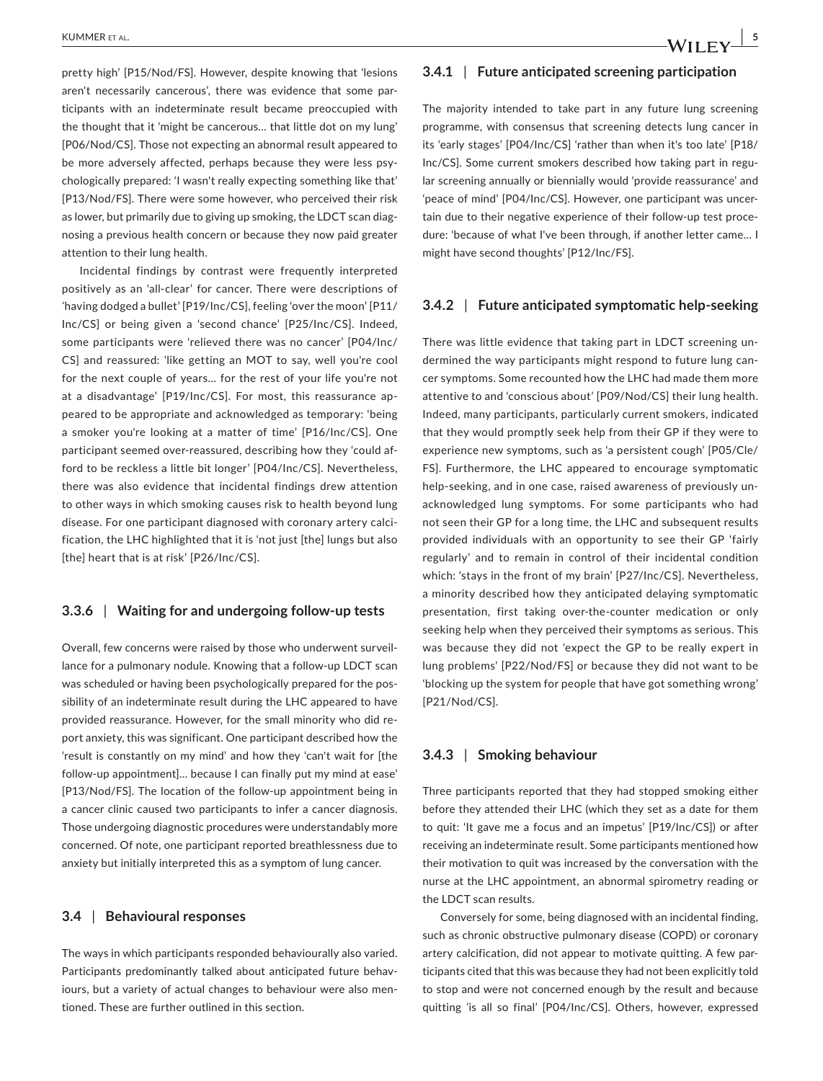pretty high' [P15/Nod/FS]. However, despite knowing that 'lesions aren't necessarily cancerous', there was evidence that some participants with an indeterminate result became preoccupied with the thought that it 'might be cancerous… that little dot on my lung' [P06/Nod/CS]. Those not expecting an abnormal result appeared to be more adversely affected, perhaps because they were less psychologically prepared: 'I wasn't really expecting something like that' [P13/Nod/FS]. There were some however, who perceived their risk as lower, but primarily due to giving up smoking, the LDCT scan diagnosing a previous health concern or because they now paid greater attention to their lung health.

Incidental findings by contrast were frequently interpreted positively as an 'all-clear' for cancer. There were descriptions of *'*having dodged a bullet' [P19/Inc/CS], feeling 'over the moon' [P11/ Inc/CS] or being given a 'second chance' [P25/Inc/CS]. Indeed, some participants were 'relieved there was no cancer' [P04/Inc/ CS] and reassured: 'like getting an MOT to say, well you're cool for the next couple of years… for the rest of your life you're not at a disadvantage' [P19/Inc/CS]. For most, this reassurance appeared to be appropriate and acknowledged as temporary: 'being a smoker you're looking at a matter of time' [P16/Inc/CS]. One participant seemed over-reassured, describing how they 'could afford to be reckless a little bit longer' [P04/Inc/CS]. Nevertheless, there was also evidence that incidental findings drew attention to other ways in which smoking causes risk to health beyond lung disease. For one participant diagnosed with coronary artery calcification, the LHC highlighted that it is 'not just [the] lungs but also [the] heart that is at risk' [P26/Inc/CS].

#### **3.3.6** | **Waiting for and undergoing follow-up tests**

Overall, few concerns were raised by those who underwent surveillance for a pulmonary nodule. Knowing that a follow-up LDCT scan was scheduled or having been psychologically prepared for the possibility of an indeterminate result during the LHC appeared to have provided reassurance. However, for the small minority who did report anxiety, this was significant. One participant described how the 'result is constantly on my mind' and how they 'can't wait for [the follow-up appointment]… because I can finally put my mind at ease' [P13/Nod/FS]. The location of the follow-up appointment being in a cancer clinic caused two participants to infer a cancer diagnosis. Those undergoing diagnostic procedures were understandably more concerned. Of note, one participant reported breathlessness due to anxiety but initially interpreted this as a symptom of lung cancer.

#### **3.4** | **Behavioural responses**

The ways in which participants responded behaviourally also varied. Participants predominantly talked about anticipated future behaviours, but a variety of actual changes to behaviour were also mentioned. These are further outlined in this section.

#### **3.4.1** | **Future anticipated screening participation**

The majority intended to take part in any future lung screening programme, with consensus that screening detects lung cancer in its 'early stages' [P04/Inc/CS] 'rather than when it's too late' [P18/ Inc/CS]. Some current smokers described how taking part in regular screening annually or biennially would 'provide reassurance' and 'peace of mind' [P04/Inc/CS]. However, one participant was uncertain due to their negative experience of their follow-up test procedure: 'because of what I've been through, if another letter came… I might have second thoughts' [P12/Inc/FS].

#### **3.4.2** | **Future anticipated symptomatic help-seeking**

There was little evidence that taking part in LDCT screening undermined the way participants might respond to future lung cancer symptoms. Some recounted how the LHC had made them more attentive to and 'conscious about' [P09/Nod/CS] their lung health. Indeed, many participants, particularly current smokers, indicated that they would promptly seek help from their GP if they were to experience new symptoms, such as 'a persistent cough' [P05/Cle/ FS]. Furthermore, the LHC appeared to encourage symptomatic help-seeking, and in one case, raised awareness of previously unacknowledged lung symptoms. For some participants who had not seen their GP for a long time, the LHC and subsequent results provided individuals with an opportunity to see their GP 'fairly regularly' and to remain in control of their incidental condition which: 'stays in the front of my brain' [P27/Inc/CS]. Nevertheless, a minority described how they anticipated delaying symptomatic presentation, first taking over-the-counter medication or only seeking help when they perceived their symptoms as serious. This was because they did not 'expect the GP to be really expert in lung problems' [P22/Nod/FS] or because they did not want to be 'blocking up the system for people that have got something wrong' [P21/Nod/CS].

#### **3.4.3** | **Smoking behaviour**

Three participants reported that they had stopped smoking either before they attended their LHC (which they set as a date for them to quit: 'It gave me a focus and an impetus' [P19/Inc/CS]) or after receiving an indeterminate result. Some participants mentioned how their motivation to quit was increased by the conversation with the nurse at the LHC appointment, an abnormal spirometry reading or the LDCT scan results.

Conversely for some, being diagnosed with an incidental finding, such as chronic obstructive pulmonary disease (COPD) or coronary artery calcification, did not appear to motivate quitting. A few participants cited that this was because they had not been explicitly told to stop and were not concerned enough by the result and because quitting *'*is all so final' [P04/Inc/CS]. Others, however, expressed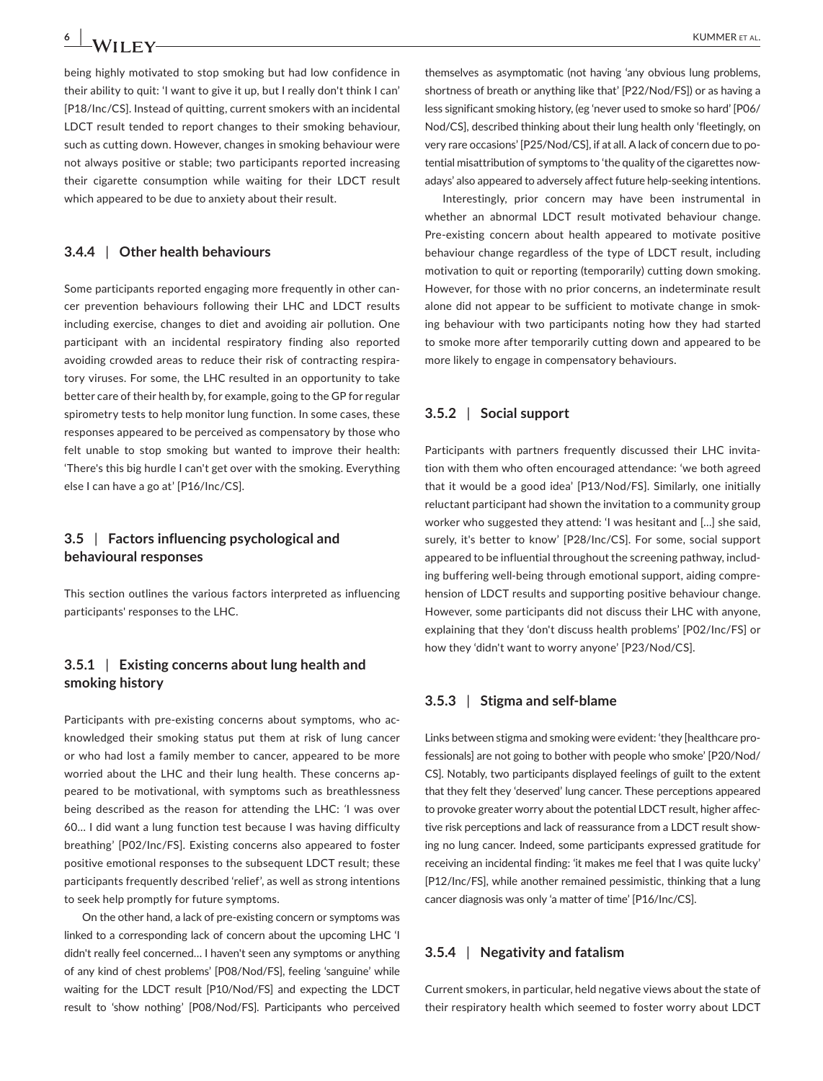being highly motivated to stop smoking but had low confidence in their ability to quit: 'I want to give it up, but I really don't think I can' [P18/Inc/CS]. Instead of quitting, current smokers with an incidental LDCT result tended to report changes to their smoking behaviour, such as cutting down. However, changes in smoking behaviour were not always positive or stable; two participants reported increasing their cigarette consumption while waiting for their LDCT result which appeared to be due to anxiety about their result.

### **3.4.4** | **Other health behaviours**

Some participants reported engaging more frequently in other cancer prevention behaviours following their LHC and LDCT results including exercise, changes to diet and avoiding air pollution. One participant with an incidental respiratory finding also reported avoiding crowded areas to reduce their risk of contracting respiratory viruses. For some, the LHC resulted in an opportunity to take better care of their health by, for example, going to the GP for regular spirometry tests to help monitor lung function. In some cases, these responses appeared to be perceived as compensatory by those who felt unable to stop smoking but wanted to improve their health: 'There's this big hurdle I can't get over with the smoking. Everything else I can have a go at' [P16/Inc/CS].

# **3.5** | **Factors influencing psychological and behavioural responses**

This section outlines the various factors interpreted as influencing participants' responses to the LHC.

# **3.5.1** | **Existing concerns about lung health and smoking history**

Participants with pre-existing concerns about symptoms, who acknowledged their smoking status put them at risk of lung cancer or who had lost a family member to cancer, appeared to be more worried about the LHC and their lung health. These concerns appeared to be motivational, with symptoms such as breathlessness being described as the reason for attending the LHC: *'*I was over 60… I did want a lung function test because I was having difficulty breathing' [P02/Inc/FS]. Existing concerns also appeared to foster positive emotional responses to the subsequent LDCT result; these participants frequently described 'relief', as well as strong intentions to seek help promptly for future symptoms.

On the other hand, a lack of pre-existing concern or symptoms was linked to a corresponding lack of concern about the upcoming LHC 'I didn't really feel concerned… I haven't seen any symptoms or anything of any kind of chest problems' [P08/Nod/FS], feeling 'sanguine' while waiting for the LDCT result [P10/Nod/FS] and expecting the LDCT result to 'show nothing' [P08/Nod/FS]. Participants who perceived

themselves as asymptomatic (not having 'any obvious lung problems, shortness of breath or anything like that' [P22/Nod/FS]) or as having a less significant smoking history, (eg 'never used to smoke so hard' [P06/ Nod/CS], described thinking about their lung health only 'fleetingly, on very rare occasions' [P25/Nod/CS], if at all. A lack of concern due to potential misattribution of symptoms to 'the quality of the cigarettes nowadays' also appeared to adversely affect future help-seeking intentions.

Interestingly, prior concern may have been instrumental in whether an abnormal LDCT result motivated behaviour change. Pre-existing concern about health appeared to motivate positive behaviour change regardless of the type of LDCT result, including motivation to quit or reporting (temporarily) cutting down smoking. However, for those with no prior concerns, an indeterminate result alone did not appear to be sufficient to motivate change in smoking behaviour with two participants noting how they had started to smoke more after temporarily cutting down and appeared to be more likely to engage in compensatory behaviours.

#### **3.5.2** | **Social support**

Participants with partners frequently discussed their LHC invitation with them who often encouraged attendance: 'we both agreed that it would be a good idea' [P13/Nod/FS]. Similarly, one initially reluctant participant had shown the invitation to a community group worker who suggested they attend: 'I was hesitant and […] she said, surely, it's better to know' [P28/Inc/CS]. For some, social support appeared to be influential throughout the screening pathway, including buffering well-being through emotional support, aiding comprehension of LDCT results and supporting positive behaviour change. However, some participants did not discuss their LHC with anyone, explaining that they 'don't discuss health problems' [P02/Inc/FS] or how they 'didn't want to worry anyone' [P23/Nod/CS].

#### **3.5.3** | **Stigma and self-blame**

Links between stigma and smoking were evident: 'they [healthcare professionals] are not going to bother with people who smoke' [P20/Nod/ CS]. Notably, two participants displayed feelings of guilt to the extent that they felt they 'deserved' lung cancer. These perceptions appeared to provoke greater worry about the potential LDCT result, higher affective risk perceptions and lack of reassurance from a LDCT result showing no lung cancer. Indeed, some participants expressed gratitude for receiving an incidental finding: 'it makes me feel that I was quite lucky' [P12/Inc/FS], while another remained pessimistic, thinking that a lung cancer diagnosis was only 'a matter of time' [P16/Inc/CS].

#### **3.5.4** | **Negativity and fatalism**

Current smokers, in particular, held negative views about the state of their respiratory health which seemed to foster worry about LDCT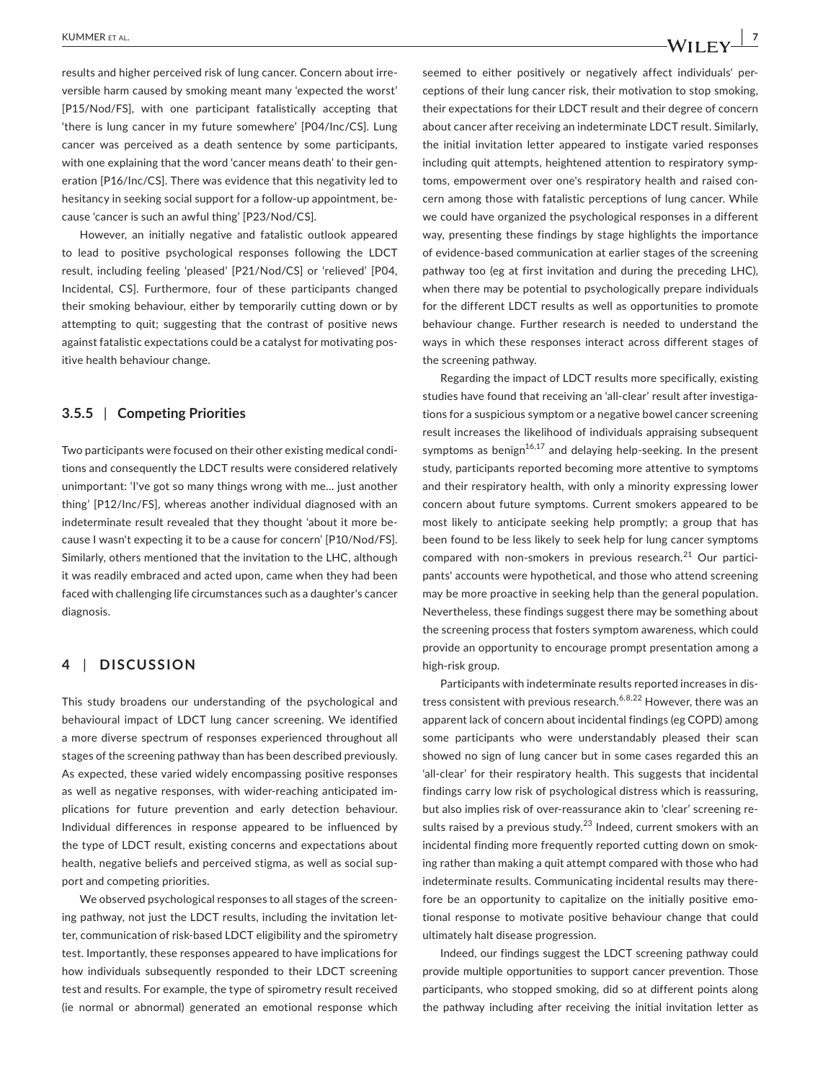results and higher perceived risk of lung cancer. Concern about irreversible harm caused by smoking meant many 'expected the worst' [P15/Nod/FS], with one participant fatalistically accepting that 'there is lung cancer in my future somewhere' [P04/Inc/CS]. Lung cancer was perceived as a death sentence by some participants, with one explaining that the word 'cancer means death' to their generation [P16/Inc/CS]. There was evidence that this negativity led to hesitancy in seeking social support for a follow-up appointment, because 'cancer is such an awful thing' [P23/Nod/CS].

However, an initially negative and fatalistic outlook appeared to lead to positive psychological responses following the LDCT result, including feeling 'pleased' [P21/Nod/CS] or 'relieved' [P04, Incidental, CS]. Furthermore, four of these participants changed their smoking behaviour, either by temporarily cutting down or by attempting to quit; suggesting that the contrast of positive news against fatalistic expectations could be a catalyst for motivating positive health behaviour change.

#### **3.5.5** | **Competing Priorities**

Two participants were focused on their other existing medical conditions and consequently the LDCT results were considered relatively unimportant: 'I've got so many things wrong with me… just another thing' [P12/Inc/FS], whereas another individual diagnosed with an indeterminate result revealed that they thought 'about it more because I wasn't expecting it to be a cause for concern' [P10/Nod/FS]. Similarly, others mentioned that the invitation to the LHC, although it was readily embraced and acted upon, came when they had been faced with challenging life circumstances such as a daughter's cancer diagnosis.

# **4** | **DISCUSSION**

This study broadens our understanding of the psychological and behavioural impact of LDCT lung cancer screening. We identified a more diverse spectrum of responses experienced throughout all stages of the screening pathway than has been described previously. As expected, these varied widely encompassing positive responses as well as negative responses, with wider-reaching anticipated implications for future prevention and early detection behaviour. Individual differences in response appeared to be influenced by the type of LDCT result, existing concerns and expectations about health, negative beliefs and perceived stigma, as well as social support and competing priorities.

We observed psychological responses to all stages of the screening pathway, not just the LDCT results, including the invitation letter, communication of risk-based LDCT eligibility and the spirometry test. Importantly, these responses appeared to have implications for how individuals subsequently responded to their LDCT screening test and results. For example, the type of spirometry result received (ie normal or abnormal) generated an emotional response which

seemed to either positively or negatively affect individuals' perceptions of their lung cancer risk, their motivation to stop smoking, their expectations for their LDCT result and their degree of concern about cancer after receiving an indeterminate LDCT result. Similarly, the initial invitation letter appeared to instigate varied responses including quit attempts, heightened attention to respiratory symptoms, empowerment over one's respiratory health and raised concern among those with fatalistic perceptions of lung cancer. While we could have organized the psychological responses in a different way, presenting these findings by stage highlights the importance of evidence-based communication at earlier stages of the screening pathway too (eg at first invitation and during the preceding LHC), when there may be potential to psychologically prepare individuals for the different LDCT results as well as opportunities to promote behaviour change. Further research is needed to understand the ways in which these responses interact across different stages of the screening pathway.

Regarding the impact of LDCT results more specifically, existing studies have found that receiving an 'all-clear' result after investigations for a suspicious symptom or a negative bowel cancer screening result increases the likelihood of individuals appraising subsequent symptoms as benign<sup>16,17</sup> and delaying help-seeking. In the present study, participants reported becoming more attentive to symptoms and their respiratory health, with only a minority expressing lower concern about future symptoms. Current smokers appeared to be most likely to anticipate seeking help promptly; a group that has been found to be less likely to seek help for lung cancer symptoms compared with non-smokers in previous research. $21$  Our participants' accounts were hypothetical, and those who attend screening may be more proactive in seeking help than the general population. Nevertheless, these findings suggest there may be something about the screening process that fosters symptom awareness, which could provide an opportunity to encourage prompt presentation among a high-risk group.

Participants with indeterminate results reported increases in distress consistent with previous research.<sup>6,8,22</sup> However, there was an apparent lack of concern about incidental findings (eg COPD) among some participants who were understandably pleased their scan showed no sign of lung cancer but in some cases regarded this an 'all-clear' for their respiratory health. This suggests that incidental findings carry low risk of psychological distress which is reassuring, but also implies risk of over-reassurance akin to 'clear' screening results raised by a previous study. $^{23}$  Indeed, current smokers with an incidental finding more frequently reported cutting down on smoking rather than making a quit attempt compared with those who had indeterminate results. Communicating incidental results may therefore be an opportunity to capitalize on the initially positive emotional response to motivate positive behaviour change that could ultimately halt disease progression.

Indeed, our findings suggest the LDCT screening pathway could provide multiple opportunities to support cancer prevention. Those participants, who stopped smoking, did so at different points along the pathway including after receiving the initial invitation letter as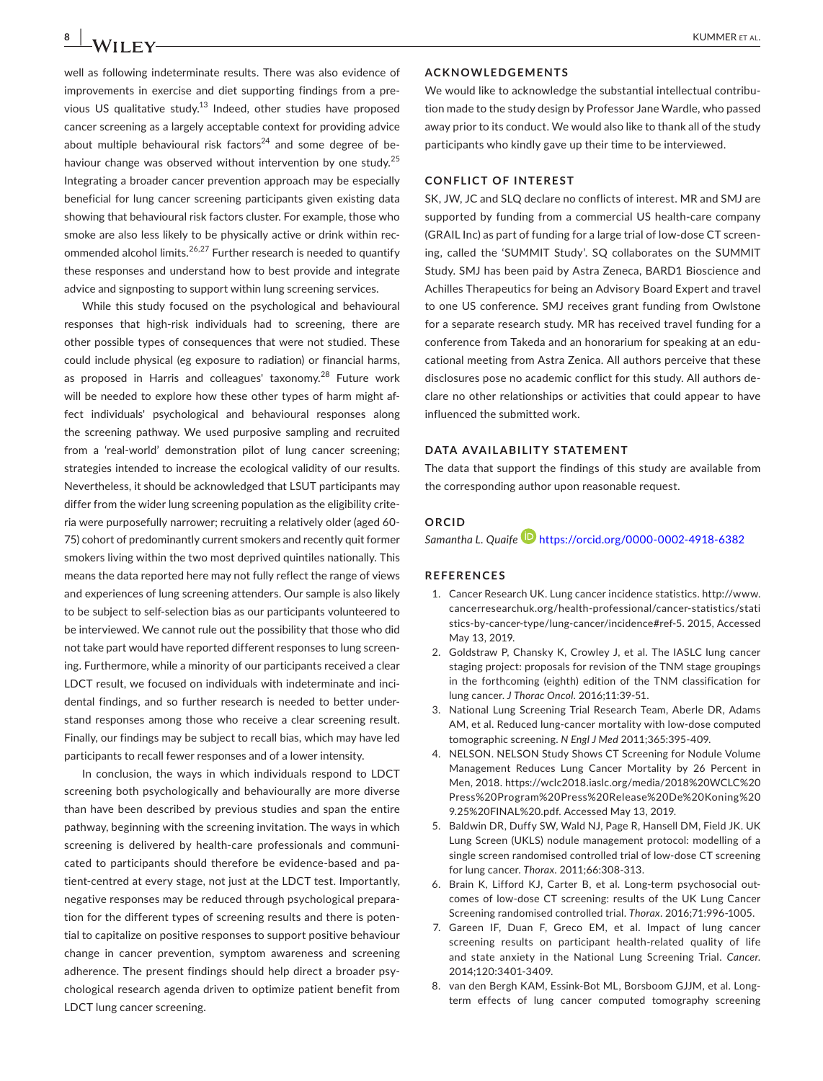well as following indeterminate results. There was also evidence of improvements in exercise and diet supporting findings from a previous US qualitative study.<sup>13</sup> Indeed, other studies have proposed cancer screening as a largely acceptable context for providing advice about multiple behavioural risk factors $24$  and some degree of behaviour change was observed without intervention by one study.<sup>25</sup> Integrating a broader cancer prevention approach may be especially beneficial for lung cancer screening participants given existing data showing that behavioural risk factors cluster. For example, those who smoke are also less likely to be physically active or drink within recommended alcohol limits.<sup>26,27</sup> Further research is needed to quantify these responses and understand how to best provide and integrate advice and signposting to support within lung screening services.

While this study focused on the psychological and behavioural responses that high-risk individuals had to screening, there are other possible types of consequences that were not studied. These could include physical (eg exposure to radiation) or financial harms, as proposed in Harris and colleagues' taxonomy.<sup>28</sup> Future work will be needed to explore how these other types of harm might affect individuals' psychological and behavioural responses along the screening pathway. We used purposive sampling and recruited from a 'real-world' demonstration pilot of lung cancer screening; strategies intended to increase the ecological validity of our results. Nevertheless, it should be acknowledged that LSUT participants may differ from the wider lung screening population as the eligibility criteria were purposefully narrower; recruiting a relatively older (aged 60- 75) cohort of predominantly current smokers and recently quit former smokers living within the two most deprived quintiles nationally. This means the data reported here may not fully reflect the range of views and experiences of lung screening attenders. Our sample is also likely to be subject to self-selection bias as our participants volunteered to be interviewed. We cannot rule out the possibility that those who did not take part would have reported different responses to lung screening. Furthermore, while a minority of our participants received a clear LDCT result, we focused on individuals with indeterminate and incidental findings, and so further research is needed to better understand responses among those who receive a clear screening result. Finally, our findings may be subject to recall bias, which may have led participants to recall fewer responses and of a lower intensity.

In conclusion, the ways in which individuals respond to LDCT screening both psychologically and behaviourally are more diverse than have been described by previous studies and span the entire pathway, beginning with the screening invitation. The ways in which screening is delivered by health-care professionals and communicated to participants should therefore be evidence-based and patient-centred at every stage, not just at the LDCT test. Importantly, negative responses may be reduced through psychological preparation for the different types of screening results and there is potential to capitalize on positive responses to support positive behaviour change in cancer prevention, symptom awareness and screening adherence. The present findings should help direct a broader psychological research agenda driven to optimize patient benefit from LDCT lung cancer screening.

#### **ACKNOWLEDGEMENTS**

We would like to acknowledge the substantial intellectual contribution made to the study design by Professor Jane Wardle, who passed away prior to its conduct. We would also like to thank all of the study participants who kindly gave up their time to be interviewed.

#### **CONFLICT OF INTEREST**

SK, JW, JC and SLQ declare no conflicts of interest. MR and SMJ are supported by funding from a commercial US health-care company (GRAIL Inc) as part of funding for a large trial of low-dose CT screening, called the 'SUMMIT Study'. SQ collaborates on the SUMMIT Study. SMJ has been paid by Astra Zeneca, BARD1 Bioscience and Achilles Therapeutics for being an Advisory Board Expert and travel to one US conference. SMJ receives grant funding from Owlstone for a separate research study. MR has received travel funding for a conference from Takeda and an honorarium for speaking at an educational meeting from Astra Zenica. All authors perceive that these disclosures pose no academic conflict for this study. All authors declare no other relationships or activities that could appear to have influenced the submitted work.

#### **DATA AVAILABILITY STATEMENT**

The data that support the findings of this study are available from the corresponding author upon reasonable request.

#### **ORCID**

*Samantha L. Quaife* <https://orcid.org/0000-0002-4918-6382>

#### **REFERENCES**

- 1. Cancer Research UK. Lung cancer incidence statistics. [http://www.](http://www.cancerresearchuk.org/health-professional/cancer-statistics/statistics-by-cancer-type/lung-cancer/incidence#ref-5) [cancerresearchuk.org/health-professional/cancer-statistics/stati](http://www.cancerresearchuk.org/health-professional/cancer-statistics/statistics-by-cancer-type/lung-cancer/incidence#ref-5) [stics-by-cancer-type/lung-cancer/incidence#ref-5.](http://www.cancerresearchuk.org/health-professional/cancer-statistics/statistics-by-cancer-type/lung-cancer/incidence#ref-5) 2015, Accessed May 13, 2019.
- 2. Goldstraw P, Chansky K, Crowley J, et al. The IASLC lung cancer staging project: proposals for revision of the TNM stage groupings in the forthcoming (eighth) edition of the TNM classification for lung cancer. *J Thorac Oncol*. 2016;11:39-51.
- 3. National Lung Screening Trial Research Team, Aberle DR, Adams AM, et al. Reduced lung-cancer mortality with low-dose computed tomographic screening. *N Engl J Med* 2011;365:395-409.
- 4. NELSON. NELSON Study Shows CT Screening for Nodule Volume Management Reduces Lung Cancer Mortality by 26 Percent in Men, 2018. [https://wclc2018.iaslc.org/media/2018%20WCLC%20](https://wclc2018.iaslc.org/media/2018 WCLC Press Program Press Release De Koning 9.25 FINAL .pdf) [Press%20Program%20Press%20Release%20De%20Koning%20](https://wclc2018.iaslc.org/media/2018 WCLC Press Program Press Release De Koning 9.25 FINAL .pdf) [9.25%20FINAL%20.pdf.](https://wclc2018.iaslc.org/media/2018 WCLC Press Program Press Release De Koning 9.25 FINAL .pdf) Accessed May 13, 2019.
- 5. Baldwin DR, Duffy SW, Wald NJ, Page R, Hansell DM, Field JK. UK Lung Screen (UKLS) nodule management protocol: modelling of a single screen randomised controlled trial of low-dose CT screening for lung cancer. *Thorax*. 2011;66:308-313.
- 6. Brain K, Lifford KJ, Carter B, et al. Long-term psychosocial outcomes of low-dose CT screening: results of the UK Lung Cancer Screening randomised controlled trial. *Thorax*. 2016;71:996-1005.
- 7. Gareen IF, Duan F, Greco EM, et al. Impact of lung cancer screening results on participant health-related quality of life and state anxiety in the National Lung Screening Trial. *Cancer*. 2014;120:3401-3409.
- 8. van den Bergh KAM, Essink-Bot ML, Borsboom GJJM, et al. Longterm effects of lung cancer computed tomography screening